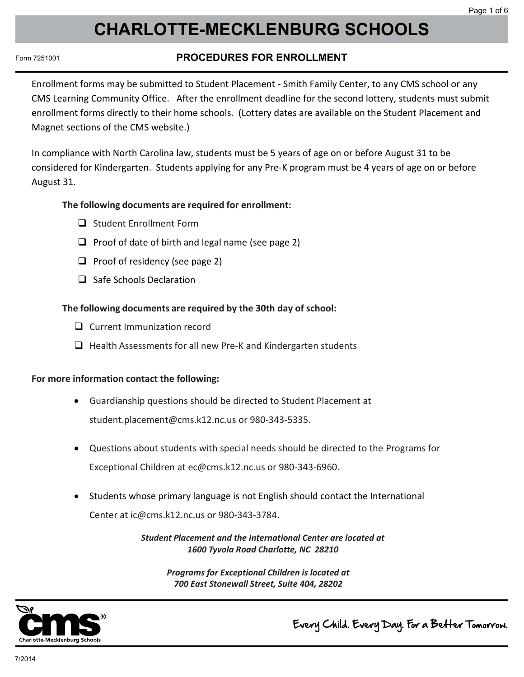# **CHARLOTTE-MECKLENBURG SCHOOLS Charlotte-Mecklenburg Schools**

### Form 7251001

# **PROCEDURES FOR ENROLLMENT PROCEDURES FOR ENROLLMENT**

Enrollment forms may be submitted to Student Placement - Smith Family Center, to any CMS school or any CMS Learning Community Office. After the enrollment deadline for the second lottery, students must submit enrollment forms directly to their home schools. (Lottery dates are available on the Student Placement and Magnet sections of the CMS website.)

In compliance with North Carolina law, students must be 5 years of age on or before August 31 to be considered for Kindergarten. Students applying for any Pre-K program must be 4 years of age on or before August 31.

### **The following documents are required for enrollment:**

- □ Student Fnrollment Form
- $\Box$  Proof of date of birth and legal name (see page 2)
- $\Box$  Proof of residency (see page 2)
- $\Box$  Safe Schools Declaration

### **The following documents are required by the 30th day of school:**

- $\Box$  Current Immunization record
- $\Box$  Health Assessments for all new Pre-K and Kindergarten students

### **For more information contact the following:**

- Guardianship questions should be directed to Student Placement at student.placement@cms.k12.nc.us or 980-343-5335.
- Questions about students with special needs should be directed to the Programs for Exceptional Children at ec@cms.k12.nc.us or 980-343-6960.
- Students whose primary language is not English should contact the International Center at ic@cms.k12.nc.us or 980-343-3784.

*Student Placement and the International Center are located at 1600 Tyvola Road Charlotte, NC 28210*

> *Programs for Exceptional Children is located at 700 East Stonewall Street, Suite 404, 28202*



Every Child. Every Day. For a Better Tomorrow.

*Page 1*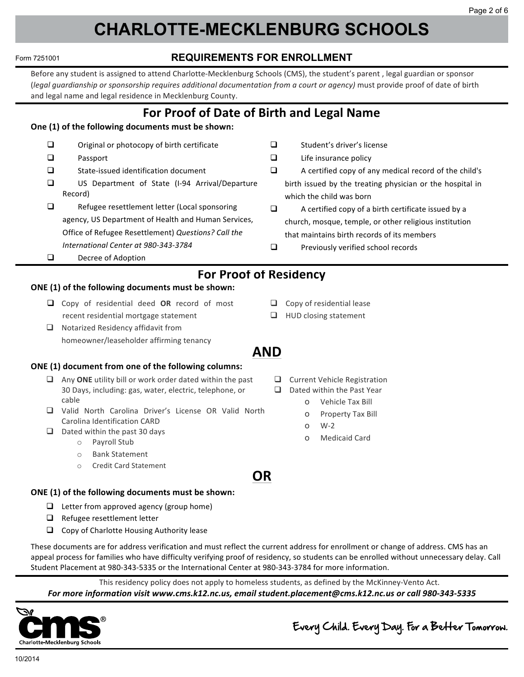#### **CHARLOTTE-MECKLENBURG SCHOOLS CHARLOTTE-MECKLENBURG SCHOOLS** Form 7251001 **REQUIREMENTS FOR ENROLLMENT** Form 7251001 **REQUIREMENTS FOR ENROLLMENT**  $\mathcal{S}$  , any the  $\mathcal{S}$  , and  $\mathcal{S}$  , and  $\mathcal{S}$  , and  $\mathcal{S}$  , and  $\mathcal{S}$  , and  $\mathcal{S}$  , and  $\mathcal{S}$  $\mathbf{S}$  , any  $\mathbf{S}$  , and  $\mathbf{S}$  , and  $\mathbf{S}$  , and  $\mathbf{S}$ Form 7251001 **REQUIREMENTS FOR ENROLLMENT CHARLOTTE-MECKLENBURG SCHOOLS** Form 7251001 **REQUIREMENTS FOR ENROLLMENT Form 7251001 REQUIREMENTS FOR ENRITREMENTS CHARLOTTE-MECKLENBURG SCHOOLS** Form 7251001 **REQUIREMENTS FOR ENROLLMENT**

**CHARLOTTE-MECKLENBURG SCHOOLS**

#### Form 7251001 **REQUIREMENTS FOR ENROLLMENT documentation** must be a sponsor or the second of the second of the second of the second of the second of the second of the second of the second of the second of the second of the second of the second of the second of the  $\mathcal{L}_{\mathcal{S}}$  ,  $\mathcal{S}_{\mathcal{S}}$  ,  $\mathcal{S}_{\mathcal{S}}$  ,  $\mathcal{S}_{\mathcal{S}}$  ,  $\mathcal{S}_{\mathcal{S}}$  ,  $\mathcal{S}_{\mathcal{S}}$  ,  $\mathcal{S}_{\mathcal{S}}$  ,  $\mathcal{S}_{\mathcal{S}}$  ,  $\mathcal{S}_{\mathcal{S}}$  ,  $\mathcal{S}_{\mathcal{S}}$  ,  $\mathcal{S}_{\mathcal{S}}$  ,  $\mathcal{S}_{\mathcal{S}}$  ,  $\mathcal{S}_{\mathcal{S}}$  ,

Before any student is assigned to attend Charlotte-Mecklenburg Schools (CMS), the student's parent, legal guardian or sponsor<br>Uegal quardianship or sponsorship requires additional documentation from a court or gaencyl must legal guardianship or sponsorship requires additional documentation from a court or agency) must provide proof of date of birth and legal name and legal residence in Mecklenburg County. Before any student is assigned to attend Charlotte-Mecklenburg Schools (CMS), the student's parent , legal guardian or sponsor **For the county.**<br> **For the contract of the contract of the contract of the contract of the contract of the contract of the contract of the contract of the contract of the contract of the contract of the contract of the co** 

#### For Proof of Date of Birth and Legal Name  $\mathcal{L}$  insurance  $\mathcal{L}$ **CONGITY IS ONE ONE ONE ONE OF DU**

#### One (1) of the following documents must be shown:  $\overline{\phantom{a}}$ q Passport 
 **One 
 (1) 
 of 
 the 
 following 
 documents 
 must 
 be 
 shown:** $\mathcal{O}(\mathcal{O}_\mathcal{D})$  and  $\mathcal{O}(\mathcal{O}_\mathcal{D})$  and  $\mathcal{O}(\mathcal{O}_\mathcal{D})$  and  $\mathcal{O}(\mathcal{O}_\mathcal{D})$

- $\Box$  Original or photocopy of birth certificate  $\Box$  Original or photocopy of birth certificate
- $\Box$  Passport  $\Box$  Department
- $\Box$  State-issued identification document  $\Box$  State-issued identification document
- $\square$  US Department of State (I-94 Arrival/Departure Record) and the sponsoring of the services of the services of the services of the services of the services of the services of the services of the services of the services of the services of the services of the services,  $\$ **Record**)  $\Box$  refugees to the contribution of the contribution of  $\Box$  $\frac{1}{2}$  Becord) Record) 
 Reford) **Q** US Department of State (I-94 Arrival/Depa Record) and the sponsoring  $\mathcal{L}$ Passport<br>
State-issued identification document<br>
US Department of State (I-94 Arrival/Departure<br>
Record)
- □ Refugee resettlement letter (Local sponsoring agency, US Department of Health and Human Services, Office of Refugee Resettlement) Questions? Call the *International Center at 980-343-3784*  $\square$  Refugee resettlement letter (Local sponsoring agency, US Department of Health and Human Services,
- □ Decree of Adoption **Conce of Mustrial**
- $\Box$  Student's driver's license  $\Box$  Student's driver's license
- $\Box$  Life insurance policy  $\Box$  Life insurance policy
- $\Box$  A certified copy of any medical record of the child's birth issued by the treating physician or the hospital in which the child was born  $\Box$  A certified copy of any medical record of the child's  $\Box$  A certified copy of any medical record of the child's birth issued by the treating physician or the hospital in which the child was born
- $\Box$  A certified copy of a birth certificate issued by a church, mosque, temple, or other religious institution that maintains birth records of its members A certified copy of a birth certificate issued by a A certified copy of a birth certificate issued by a<br>church, mosque, temple, or other religious institution<br>that maintains birth records of its members<br>Previously verified school records
- $\Box$  Previously verified school records **For Property**

### residency **Example 20 For Proof of Residency For all the second contract of the second contract**

### **For Froof of Kesidency**<br>(1) of the following documents must be shown: ONE (1) of the following documents must be shown:

- Copy of residential deed OR record of most recent residential mortgage statement recent residential mortgage statement
- $\Box$  Notarized Residency affidavit from metrical mortgage statement<br>  $\Box$  HUD closing statement<br>  $\Box$  Notarized Residency affidavit from<br>
homeowner/leaseholder affirming tenancy **C**  $\mathbf{d} \cdot \mathbf{d} = \mathbf{d} \cdot \mathbf{d}$  , where  $\mathbf{d} \cdot \mathbf{d} = \mathbf{d} \cdot \mathbf{d}$  , where  $\mathbf{d} \cdot \mathbf{d} = \mathbf{d} \cdot \mathbf{d}$

## q Any 
 **ONE** utility 
 bill 
 or 
 work 
 order 
 dated 
 within 
 the 
 past 
 **ONE 
 (1) 
 document 
 from 
 one 
 of 
 the 
 following 
 columns: ONE 
 (1) 
 document 
 from 
 one 
 of 
 the 
 following 
 columns:**

- **AND**  $\Box$  Any ONE utility bill or work order dated within the past 30 Days, including: gas, water, electric, telephone, or cable **carolination**  $\mathbf{C}$  and  $\mathbf{D}$  and  $\mathbf{D}$  and  $\mathbf{D}$  are  $\mathbf{D}$  and  $\mathbf{D}$  and  $\mathbf{D}$  are  $\mathbf{D}$  and  $\mathbf{D}$  and  $\mathbf{D}$  are  $\mathbf{D}$  and  $\mathbf{D}$  and  $\mathbf{D}$  are  $\mathbf{D}$  and  $\mathbf{D}$  and  $\mathbf{D$ cable 
 cable 
  $\mathsf{c}$ able **AND**
	- Cable<br>
	□ Valid North Carolina Driver's License OR Valid North Carolina Identification CARD □ Valid North Carolina Driver's License OR Valid North o venicle Tax Bill<br>
	I North Carolina Driver's License OR Valid North<br>
	Ilina Identification CARD<br>
	o W-2<br>
	o W-2<br>
	o W-2<br>
	o Medicaid Card<br>
	o Medicaid Card<br>
	o Medicaid Card<br>
	o Medicaid Card<br>
	o Medicaid Card<br>
	o Medicaid Card<br>
	o
	- caron<br>Deted  $\Box$  Dated within the past 30 days Dated within the past 30 day
	- $\sigma$  rayion stab  $\frac{d}{dx}$  back within the past 50 days
	- o Bank Statement o Bank Staten
		- o Credit Card Statement  $\circ$  Credit Card State

**Q** Current Vehicle Registration

 $\Box$  HUD closing statement

 $\Box$  Copy of residential lease

- $\Box$  Dated within the Past Year
- O Vehicle Tax Bill
- o Property Tax Bill
	- $\circ$  W-2  $\mathsf{U}$  VV- $\mathsf{Z}$
	- o Medicaid Card

# ONE (1) of the following documents must be shown:

- $\Box$  Letter from approved agency (group home)
- **D** Relugee resettlement letter  $\Box$  Letter homepproved ugency (group nome)
	- such that is a copy of changeled thought of the country reader and Copy of Charlotte Housing Authority lease  $\blacksquare$  relative resemble from the contract of the state of the state of the state of the state of the state of the state of the state of the state of the state of the state of the state of the state of the state of the st  $\Box$  Copy of Charlotte Housing Authority lease  $\Box$  Conv of Charlotto Housing Authority loase q Refugees in the contract of the contract of the contract of the contract of the contract of the contract of the contract of the contract of the contract of the contract of the contract of the contract of the contract of

These documents are for address verification and must reflect the current address for enrollment or change of address. CMS has an  $\epsilon$ al process for families who have difficulty verif appeal process for families who have difficulty verifying proof of residency, so students can be enrolled without unnecessary delay. Call Student Placement at 980-343-5335 or the International Center at 980-343-3784 for more information. Student Placement at 980-343-5335 or the International Center at 980-343-3784 for more information. Every user and the state of the control interest in the state of the control interest in the state of the state of the state of the state of the state of the state of the state of the state of the state of the state of th

**OR OR OR**

**OR**

These states in the current of the current of the controllment of the current of the current of the current of This residency policy does not apply to homeless students, as defined by the McKinney-Vento Act. For more information visit www.cms.k12.nc.us, email student.placement@cms.k12.nc.us or call 980-343-5335 For more information visit www.cms.k12.nc.us, email student.placement@cms.k12.nc.us or call 980-343-5335 This is the students of the students of the students, and the students of the students of the students, and the This residency policy does not apply to nomeless students, as defined by the McKini appeal of the students of the students of the students of the students of the students of the students of the students of the students of the students of the students of the students of the students of the students of the Students when the contract of the contract of the contract of the contract of the contract of the contract of the contract of the contract of the contract of the contract of the contract of the contract of the contract of



#### $\circledR$  and the studies of the studies of the studies of the studies of the studies of the studies of the studies of the studies of the studies of the studies of the studies of the studies of the studies of the studies of Every Child. Every Day. For a Better Tomorrow. **For a student of the student of the student of the student of the student of the student of the student of the student of the student of the student of the student of the student of the student of the student of the stude** *Formation Child. Every Day.* for a Better To

Every Child. Every Day. For a Better Tomorrow.

**AND AND AND AND AND**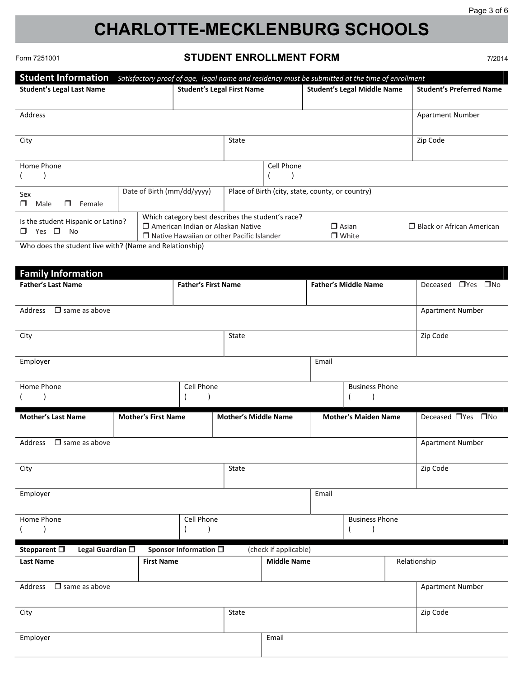# **CHARLOTTE-MECKLENBURG SCHOOLS Charlotte-Mecklenburg Schools**

Form 7251001

# **STUDENT ENROLLMENT FORM STUDENT ENROLLMENT FORM**

7/2014

| <b>Student Information</b>         |                            |                                                   |            | Satisfactory proof of age, legal name and residency must be submitted at the time of enrollment |                                  |
|------------------------------------|----------------------------|---------------------------------------------------|------------|-------------------------------------------------------------------------------------------------|----------------------------------|
| <b>Student's Legal Last Name</b>   |                            | <b>Student's Legal First Name</b>                 |            | <b>Student's Legal Middle Name</b>                                                              | <b>Student's Preferred Name</b>  |
|                                    |                            |                                                   |            |                                                                                                 |                                  |
| Address                            |                            |                                                   |            |                                                                                                 | Apartment Number                 |
|                                    |                            |                                                   |            |                                                                                                 |                                  |
| City                               |                            | State                                             |            |                                                                                                 | Zip Code                         |
|                                    |                            |                                                   |            |                                                                                                 |                                  |
| Home Phone                         |                            |                                                   | Cell Phone |                                                                                                 |                                  |
|                                    |                            |                                                   |            |                                                                                                 |                                  |
| Sex                                | Date of Birth (mm/dd/yyyy) |                                                   |            | Place of Birth (city, state, county, or country)                                                |                                  |
| Female<br>Male<br>П<br>П           |                            |                                                   |            |                                                                                                 |                                  |
| Is the student Hispanic or Latino? |                            | Which category best describes the student's race? |            |                                                                                                 |                                  |
| $\Box$<br><b>No</b><br>Yes<br>П    |                            | American Indian or Alaskan Native                 |            | $\Box$ Asian                                                                                    | $\Box$ Black or African American |
|                                    |                            | $\Box$ Native Hawaiian or other Pacific Islander  |            | $\Box$ White                                                                                    |                                  |

Who does the student live with? (Name and Relationship)

| <b>Family Information</b>                                            |                                            |            |                             |                                             |       |                             |              |                         |  |
|----------------------------------------------------------------------|--------------------------------------------|------------|-----------------------------|---------------------------------------------|-------|-----------------------------|--------------|-------------------------|--|
| <b>Father's Last Name</b><br><b>Father's First Name</b>              |                                            |            |                             |                                             |       | <b>Father's Middle Name</b> |              | Deceased □ Yes □ No     |  |
|                                                                      |                                            |            |                             |                                             |       |                             |              |                         |  |
| Address $\Box$ same as above                                         |                                            |            |                             |                                             |       |                             |              | Apartment Number        |  |
|                                                                      |                                            |            |                             |                                             |       |                             |              |                         |  |
| City                                                                 |                                            |            | State                       |                                             |       |                             |              | Zip Code                |  |
|                                                                      |                                            |            |                             |                                             |       |                             |              |                         |  |
| Employer                                                             |                                            |            |                             |                                             | Email |                             |              |                         |  |
|                                                                      |                                            |            |                             |                                             |       |                             |              |                         |  |
| Home Phone                                                           |                                            | Cell Phone |                             |                                             |       | <b>Business Phone</b>       |              |                         |  |
|                                                                      |                                            |            |                             |                                             |       | $\lambda$                   |              |                         |  |
| <b>Mother's Last Name</b>                                            | <b>Mother's First Name</b>                 |            | <b>Mother's Middle Name</b> |                                             |       | <b>Mother's Maiden Name</b> |              | Deceased TYes TNo       |  |
|                                                                      |                                            |            |                             |                                             |       |                             |              |                         |  |
| Address $\Box$ same as above                                         |                                            |            |                             |                                             |       |                             |              | <b>Apartment Number</b> |  |
|                                                                      |                                            |            |                             |                                             |       |                             |              |                         |  |
| City                                                                 |                                            |            | State                       |                                             |       |                             |              | Zip Code                |  |
|                                                                      |                                            |            |                             |                                             |       |                             |              |                         |  |
| Employer                                                             |                                            |            |                             |                                             | Email |                             |              |                         |  |
|                                                                      |                                            |            |                             |                                             |       |                             |              |                         |  |
| Home Phone                                                           |                                            | Cell Phone |                             |                                             |       | <b>Business Phone</b>       |              |                         |  |
|                                                                      |                                            |            |                             |                                             |       |                             |              |                         |  |
|                                                                      |                                            |            |                             |                                             |       |                             |              |                         |  |
| Stepparent $\square$<br>Legal Guardian $\square$<br><b>Last Name</b> | Sponsor Information 0<br><b>First Name</b> |            |                             | (check if applicable)<br><b>Middle Name</b> |       |                             | Relationship |                         |  |
|                                                                      |                                            |            |                             |                                             |       |                             |              |                         |  |
| $\Box$ same as above<br>Address                                      |                                            |            |                             |                                             |       |                             |              | <b>Apartment Number</b> |  |
|                                                                      |                                            |            |                             |                                             |       |                             |              |                         |  |
| City                                                                 |                                            |            | State                       |                                             |       |                             |              | Zip Code                |  |
|                                                                      |                                            |            |                             |                                             |       |                             |              |                         |  |
| Employer                                                             |                                            |            |                             | Email                                       |       |                             |              |                         |  |
|                                                                      |                                            |            |                             |                                             |       |                             |              |                         |  |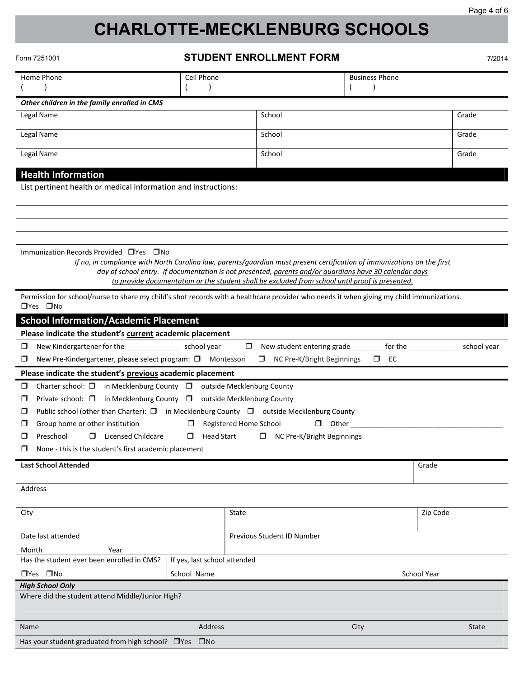# **CHARLOTTE-MECKLENBURG SCHOOLS**

| Form 7251001 |  |
|--------------|--|
|              |  |

 $\frac{1}{2}$  you student graduated from  $\frac{1}{2}$ 

#### orm 7251001 **STUDENT ENROLLMENT FORM** *Stepparent, Legal Guardian Sponsor Information—Continued*

7/2014

| Form 7251001                                                                                                                                                     |                                                  | SIUDENI ENKULLMENI FUKM                                                                                                                                                                                                                                                                                                              |              |                       |             | 7/2014 |  |  |
|------------------------------------------------------------------------------------------------------------------------------------------------------------------|--------------------------------------------------|--------------------------------------------------------------------------------------------------------------------------------------------------------------------------------------------------------------------------------------------------------------------------------------------------------------------------------------|--------------|-----------------------|-------------|--------|--|--|
| Home Phone                                                                                                                                                       | Cell Phone                                       |                                                                                                                                                                                                                                                                                                                                      |              | <b>Business Phone</b> |             |        |  |  |
| Other children in the family enrolled in CMS                                                                                                                     |                                                  |                                                                                                                                                                                                                                                                                                                                      |              |                       |             |        |  |  |
| Legal Name                                                                                                                                                       |                                                  | School                                                                                                                                                                                                                                                                                                                               |              |                       | Grade       |        |  |  |
| Legal Name                                                                                                                                                       |                                                  | School                                                                                                                                                                                                                                                                                                                               |              |                       | Grade       |        |  |  |
| Legal Name                                                                                                                                                       |                                                  | School                                                                                                                                                                                                                                                                                                                               |              |                       | Grade       |        |  |  |
| <b>Health Information</b>                                                                                                                                        |                                                  |                                                                                                                                                                                                                                                                                                                                      |              |                       |             |        |  |  |
| List pertinent health or medical information and instructions:                                                                                                   |                                                  |                                                                                                                                                                                                                                                                                                                                      |              |                       |             |        |  |  |
|                                                                                                                                                                  |                                                  |                                                                                                                                                                                                                                                                                                                                      |              |                       |             |        |  |  |
|                                                                                                                                                                  |                                                  |                                                                                                                                                                                                                                                                                                                                      |              |                       |             |        |  |  |
| Immunization Records Provided □ Yes □ No                                                                                                                         |                                                  | If no, in compliance with North Carolina law, parents/guardian must present certification of immunizations on the first<br>day of school entry. If documentation is not presented, parents and/or quardians have 30 calendar days<br>to provide documentation or the student shall be excluded from school until proof is presented. |              |                       |             |        |  |  |
| Permission for school/nurse to share my child's shot records with a healthcare provider who needs it when giving my child immunizations.<br>$\Box$ Yes $\Box$ No |                                                  |                                                                                                                                                                                                                                                                                                                                      |              |                       |             |        |  |  |
| <b>School Information/Academic Placement</b>                                                                                                                     |                                                  |                                                                                                                                                                                                                                                                                                                                      |              |                       |             |        |  |  |
| Please indicate the student's current academic placement                                                                                                         |                                                  |                                                                                                                                                                                                                                                                                                                                      |              |                       |             |        |  |  |
| $\Box$<br>New Kindergartener for the ________________ school year                                                                                                |                                                  | □ New student entering grade ________ for the _____________                                                                                                                                                                                                                                                                          |              |                       | school year |        |  |  |
| New Pre-Kindergartener, please select program: □ Montessori<br>$\Box$                                                                                            |                                                  | □ NC Pre-K/Bright Beginnings                                                                                                                                                                                                                                                                                                         |              | $\square$ EC          |             |        |  |  |
| Please indicate the student's previous academic placement                                                                                                        |                                                  |                                                                                                                                                                                                                                                                                                                                      |              |                       |             |        |  |  |
| Charter school: $\Box$ in Mecklenburg County $\Box$ outside Mecklenburg County<br>$\Box$                                                                         |                                                  |                                                                                                                                                                                                                                                                                                                                      |              |                       |             |        |  |  |
| Private school: $\Box$ in Mecklenburg County $\Box$ outside Mecklenburg County<br>$\Box$                                                                         |                                                  |                                                                                                                                                                                                                                                                                                                                      |              |                       |             |        |  |  |
| Public school (other than Charter): $\square$ in Mecklenburg County $\square$ outside Mecklenburg County<br>$\Box$                                               |                                                  |                                                                                                                                                                                                                                                                                                                                      |              |                       |             |        |  |  |
| Group home or other institution<br>□                                                                                                                             | $\Box$                                           | Registered Home School                                                                                                                                                                                                                                                                                                               | $\Box$ Other |                       |             |        |  |  |
| □<br>Preschool<br>□<br>Licensed Childcare                                                                                                                        | $\Box$ Head Start                                | □ NC Pre-K/Bright Beginnings                                                                                                                                                                                                                                                                                                         |              |                       |             |        |  |  |
| None - this is the student's first academic placement<br>$\Box$                                                                                                  |                                                  |                                                                                                                                                                                                                                                                                                                                      |              |                       |             |        |  |  |
| <b>Last School Attended</b>                                                                                                                                      |                                                  |                                                                                                                                                                                                                                                                                                                                      |              |                       | Grade       |        |  |  |
|                                                                                                                                                                  |                                                  |                                                                                                                                                                                                                                                                                                                                      |              |                       |             |        |  |  |
| Address                                                                                                                                                          |                                                  |                                                                                                                                                                                                                                                                                                                                      |              |                       |             |        |  |  |
| City                                                                                                                                                             |                                                  | State                                                                                                                                                                                                                                                                                                                                |              |                       | Zip Code    |        |  |  |
| Date last attended                                                                                                                                               |                                                  | Previous Student ID Number                                                                                                                                                                                                                                                                                                           |              |                       |             |        |  |  |
| Month<br>Year                                                                                                                                                    |                                                  |                                                                                                                                                                                                                                                                                                                                      |              |                       |             |        |  |  |
| Has the student ever been enrolled in CMS?                                                                                                                       | If yes, last school attended                     |                                                                                                                                                                                                                                                                                                                                      |              |                       |             |        |  |  |
| $\Box$ Yes $\Box$ No                                                                                                                                             | School Name                                      |                                                                                                                                                                                                                                                                                                                                      |              |                       | School Year |        |  |  |
| <b>High School Only</b>                                                                                                                                          |                                                  |                                                                                                                                                                                                                                                                                                                                      |              |                       |             |        |  |  |
|                                                                                                                                                                  | Where did the student attend Middle/Junior High? |                                                                                                                                                                                                                                                                                                                                      |              |                       |             |        |  |  |
| Name                                                                                                                                                             | Address                                          |                                                                                                                                                                                                                                                                                                                                      | City         |                       | State       |        |  |  |
| Has your student graduated from high school? □ Yes □ No                                                                                                          |                                                  |                                                                                                                                                                                                                                                                                                                                      |              |                       |             |        |  |  |
|                                                                                                                                                                  |                                                  |                                                                                                                                                                                                                                                                                                                                      |              |                       |             |        |  |  |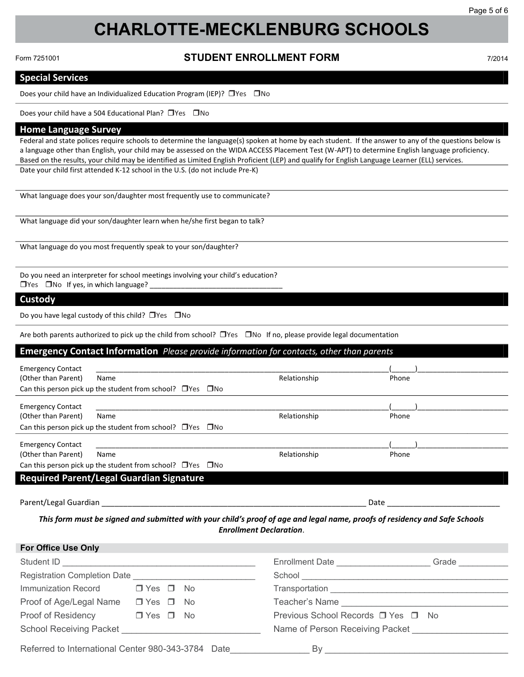# **CHARLOTTE-MECKLENBURG SCHOOLS**

Form 7251001 Form 7251001

**Special Services**

#### **STUDENT ENROLLMENT FORM 1/2014** Does your child have an Individualized Education Program (IEP)? Yes No Does your child have an Individualized Education Program (IEP)? Yes No

#### **Special Services Special Services Special Services** Does your child have a 504 Educational Plan? Yes No Does your child have a 504 Educational Plan? Yes No

Form 7251001

Does your child have an Individualized Education Program (IEP)? Yes No Does your child have an Individualized Education Program (IEP)? Yes No Does your child have an Individualized Education Program (IEP)? Yes No **Home Language Survey Home Language Survey**  $\frac{1}{\sqrt{2}}$  states require states require spoken at home by each studient. If the answer to any of the questions below is the questions below is the questions below is the questions below is the questions below is the qu Federal and state polices require spoken at home by each student. If the answer to any of the angle  $\mathcal{S}$ 

Does your child have a 504 Educational Plan? Yes No Does your child have a 504 Educational Plan? Yes No Does your child have a 504 Educational Plan? Yes No a language other than English, your child may be assessed on the WIDA ACCESS Placement Test (W-APT) to determine English language proficiency. a language other than English, your child may be assessed on the WIDA ACCESS Placement Test (W-APT) to determine English language proficiency.

### **Home Language Survey Home Language Survey Home Language Survey** Home Language Survey

rederal and state polices require schools to determine the language(s) spoken at home by each student. If the answer to any of the questions below is rederal and state polices require schools to determine the language(s) s a language other than English, your child may be assessed on the WIDA ACCESS Placement Test (W-APT) to determine English language proficiency.<br>Referred to the control of the control of the control of the control of the con Based on the results, your child may be identified as Limited English Proficient (LEP) and qualify for English Language Learner (ELL) services. Date your child first attended K-12 school in the U.S. (do not include Pre-K) Date your child first attended K-12 school in the U.S. (do not include Pre-K) Federal and state polices require schools to determine the language (s) spoken at home by each student. In the answer to any or the questions below

Based on the results, your child may be identified as Limited English Proficient (LEP) and qualify for English Language Learner (ELL) services.

Based on the results, your child may be identified as Limited English Proficient (LEP) and qualify for English Language Learner (ELL) services.

What language does your son/daughter most frequently use to communicate? What language does your son/daughter most frequently use to communicate? What language does your son/daughter most frequently use to communicate? What language did you so talk in the first began to talk the first began to talk the first began to talk the first began to talk the first began to talk the first began to talk the first began to talk the first began to ta What language did you receive did you receive did you receive to talk the first began to talk the first began to

What language did your son/daughter learn when he/she first began to talk?

What language do you most frequently speak to your son/daughter?  $Y_{\rm eff}$  is a independent language?  $Z_{\rm eff}$  in which language?  $Z_{\rm eff}$  $Y_{\rm eff}$  is a independent language?  $Z_{\rm eff}$  in which language?  $Z_{\rm eff}$ 

.<br>Do you need an interpreter for school meetings involving your child's education? Yes No If yes, in which language? \_\_\_\_\_\_\_\_\_\_\_\_\_\_\_\_\_\_\_\_\_\_\_\_\_\_\_\_\_\_\_\_\_\_ Yes No If yes, in which language? \_\_\_\_\_\_\_\_\_\_\_\_\_\_\_\_\_\_\_\_\_\_\_\_\_\_\_\_\_\_\_\_\_\_ Do you have legal custody of this child? Yes No Do you have legal custody of this child? Yes No Do you need an interpreter for school meetings involving your child's education?

## **Custody Custody Custody**

Do you have legal custody of this child? □ Yes □ No

The both parents authorized to pick up the child from school? □ Yes □ No If no, please provide legal documentation

#### Emergency Contact Information Please provide information for contacts, other than parents Entergency contact information *Tieuse provide information for contacts, other than parents*  $E_{\text{max}}$  contact  $\text{Info}$  in  $\text{Info}$  . Because the subset of the form when for contrate other than noneste Emergency contact information *Tiease provide information for contacts, other than parents*

| <b>Emergency Contact</b><br>(Other than Parent) | Name                                                                  | Relationship | Phone |
|-------------------------------------------------|-----------------------------------------------------------------------|--------------|-------|
|                                                 | Can this person pick up the student from school? $\Box$ Yes $\Box$ No |              |       |
| <b>Emergency Contact</b>                        |                                                                       |              |       |
| (Other than Parent)                             | Name                                                                  | Relationship | Phone |
|                                                 | Can this person pick up the student from school? $\Box$ Yes $\Box$ No |              |       |
| <b>Emergency Contact</b>                        |                                                                       |              |       |
| (Other than Parent)                             | Name                                                                  | Relationship | Phone |
|                                                 | Can this person pick up the student from school? $\Box$ Yes $\Box$ No |              |       |

Parent/Legal Guardian \_\_\_\_\_\_\_\_\_\_\_\_\_\_\_\_\_\_\_\_\_\_\_\_\_\_\_\_\_\_\_\_\_\_\_\_\_\_\_\_\_\_\_\_\_\_\_\_\_\_\_\_\_\_\_\_\_\_\_\_\_ Date \_\_\_\_\_\_\_\_\_\_\_\_\_\_\_\_\_\_\_\_\_\_\_\_\_\_ Parent/Legal Guardian \_\_\_\_\_\_\_\_\_\_\_\_\_\_\_\_\_\_\_\_\_\_\_\_\_\_\_\_\_\_\_\_\_\_\_\_\_\_\_\_\_\_\_\_\_\_\_\_\_\_\_\_\_\_\_\_\_\_\_\_\_ Date \_\_\_\_\_\_\_\_\_\_\_\_\_\_\_\_\_\_\_\_\_\_\_\_\_\_  $P_{\rm max}$  ,  $P_{\rm max}$  ,  $P_{\rm max}$  ,  $P_{\rm max}$  ,  $P_{\rm max}$  ,  $P_{\rm max}$  ,  $P_{\rm max}$  ,  $P_{\rm max}$  ,  $P_{\rm max}$  ,  $P_{\rm max}$  ,  $P_{\rm max}$  ,  $P_{\rm max}$  ,  $P_{\rm max}$  ,  $P_{\rm max}$  ,  $P_{\rm max}$  ,  $P_{\rm max}$  ,  $P_{\rm max}$  ,  $P_{\rm max}$  ,  $P_{\rm max}$  ,  $P_{\rm max}$  ,

This form must be signed and submitted with your child's proof of age and legal name, proofs of residency and Safe Schools<br>Enrollment Declaration *Enrollment Declaration*. *Enrollment Declaration*. *Enrollment Declaration*. *Enrollment Declaration*. *Enrollment Declaration*.

| <b>For Office Use Only</b>                         |                      |  |                                              |
|----------------------------------------------------|----------------------|--|----------------------------------------------|
|                                                    |                      |  | Enrollment Date <b>Example 2018</b><br>Grade |
|                                                    |                      |  |                                              |
| Immunization Record                                | $\Box$ Yes $\Box$ No |  |                                              |
| Proof of Age/Legal Name                            | $\Box$ Yes $\Box$ No |  | Teacher's Name                               |
| Proof of Residency                                 | $\Box$ Yes $\Box$ No |  | Previous School Records □ Yes □ No           |
| School Receiving Packet School Receiving           |                      |  | Name of Person Receiving Packet              |
| Referred to International Center 980-343-3784 Date |                      |  | By                                           |